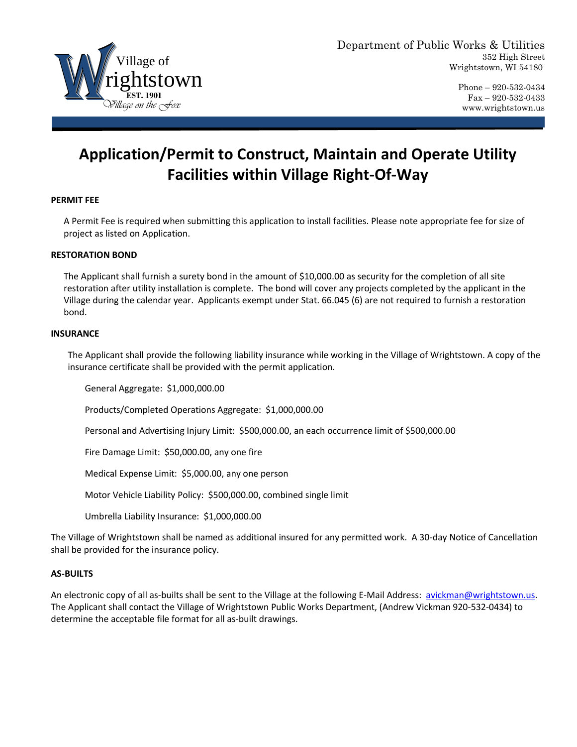

Phone – 920-532-0434 Fax – 920-532-0433 [www.wrightstown.us](http://www.wrightstown.us/)

# **Application/Permit to Construct, Maintain and Operate Utility Facilities within Village Right-Of-Way**

#### **PERMIT FEE**

A Permit Fee is required when submitting this application to install facilities. Please note appropriate fee for size of project as listed on Application.

#### **RESTORATION BOND**

The Applicant shall furnish a surety bond in the amount of \$10,000.00 as security for the completion of all site restoration after utility installation is complete. The bond will cover any projects completed by the applicant in the Village during the calendar year. Applicants exempt under Stat. 66.045 (6) are not required to furnish a restoration bond.

#### **INSURANCE**

The Applicant shall provide the following liability insurance while working in the Village of Wrightstown. A copy of the insurance certificate shall be provided with the permit application.

General Aggregate: \$1,000,000.00

Products/Completed Operations Aggregate: \$1,000,000.00

Personal and Advertising Injury Limit: \$500,000.00, an each occurrence limit of \$500,000.00

Fire Damage Limit: \$50,000.00, any one fire

Medical Expense Limit: \$5,000.00, any one person

Motor Vehicle Liability Policy: \$500,000.00, combined single limit

Umbrella Liability Insurance: \$1,000,000.00

The Village of Wrightstown shall be named as additional insured for any permitted work. A 30-day Notice of Cancellation shall be provided for the insurance policy.

#### **AS-BUILTS**

An electronic copy of all as-builts shall be sent to the Village at the following E-Mail Address: [avickman@wrightstown.us.](mailto:avickman@wrightstown.us) The Applicant shall contact the Village of Wrightstown Public Works Department, (Andrew Vickman 920-532-0434) to determine the acceptable file format for all as-built drawings.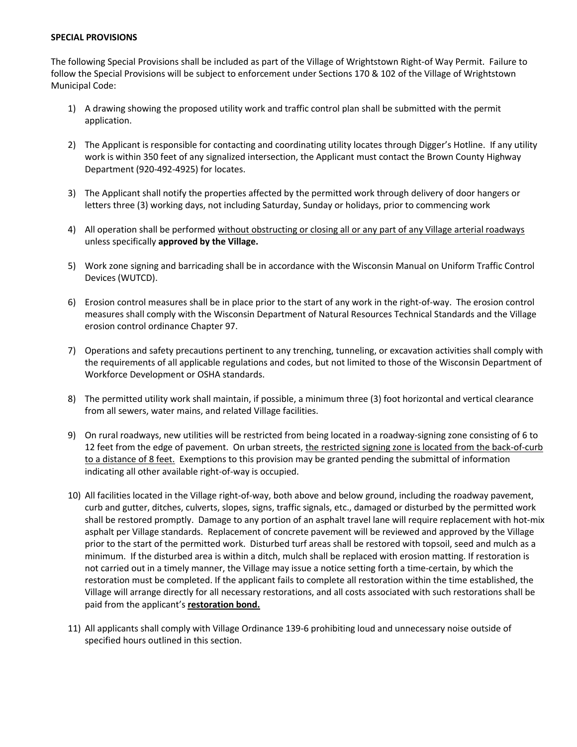#### **SPECIAL PROVISIONS**

The following Special Provisions shall be included as part of the Village of Wrightstown Right-of Way Permit. Failure to follow the Special Provisions will be subject to enforcement under Sections 170 & 102 of the Village of Wrightstown Municipal Code:

- 1) A drawing showing the proposed utility work and traffic control plan shall be submitted with the permit application.
- 2) The Applicant is responsible for contacting and coordinating utility locates through Digger's Hotline. If any utility work is within 350 feet of any signalized intersection, the Applicant must contact the Brown County Highway Department (920-492-4925) for locates.
- 3) The Applicant shall notify the properties affected by the permitted work through delivery of door hangers or letters three (3) working days, not including Saturday, Sunday or holidays, prior to commencing work
- 4) All operation shall be performed without obstructing or closing all or any part of any Village arterial roadways unless specifically **approved by the Village.**
- 5) Work zone signing and barricading shall be in accordance with the Wisconsin Manual on Uniform Traffic Control Devices (WUTCD).
- 6) Erosion control measures shall be in place prior to the start of any work in the right-of-way. The erosion control measures shall comply with the Wisconsin Department of Natural Resources Technical Standards and the Village erosion control ordinance Chapter 97.
- 7) Operations and safety precautions pertinent to any trenching, tunneling, or excavation activities shall comply with the requirements of all applicable regulations and codes, but not limited to those of the Wisconsin Department of Workforce Development or OSHA standards.
- 8) The permitted utility work shall maintain, if possible, a minimum three (3) foot horizontal and vertical clearance from all sewers, water mains, and related Village facilities.
- 9) On rural roadways, new utilities will be restricted from being located in a roadway-signing zone consisting of 6 to 12 feet from the edge of pavement. On urban streets, the restricted signing zone is located from the back-of-curb to a distance of 8 feet. Exemptions to this provision may be granted pending the submittal of information indicating all other available right-of-way is occupied.
- 10) All facilities located in the Village right-of-way, both above and below ground, including the roadway pavement, curb and gutter, ditches, culverts, slopes, signs, traffic signals, etc., damaged or disturbed by the permitted work shall be restored promptly. Damage to any portion of an asphalt travel lane will require replacement with hot-mix asphalt per Village standards. Replacement of concrete pavement will be reviewed and approved by the Village prior to the start of the permitted work. Disturbed turf areas shall be restored with topsoil, seed and mulch as a minimum. If the disturbed area is within a ditch, mulch shall be replaced with erosion matting. If restoration is not carried out in a timely manner, the Village may issue a notice setting forth a time-certain, by which the restoration must be completed. If the applicant fails to complete all restoration within the time established, the Village will arrange directly for all necessary restorations, and all costs associated with such restorations shall be paid from the applicant's **restoration bond.**
- 11) All applicants shall comply with Village Ordinance 139-6 prohibiting loud and unnecessary noise outside of specified hours outlined in this section.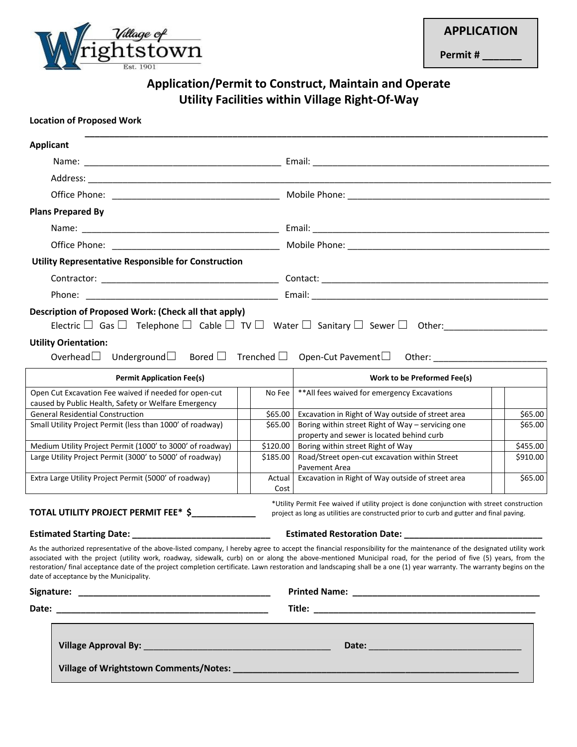

**APPLICATION**

**Permit # \_\_\_\_\_\_\_**

## **Application/Permit to Construct, Maintain and Operate Utility Facilities within Village Right-Of-Way**

**\_\_\_\_\_\_\_\_\_\_\_\_\_\_\_\_\_\_\_\_\_\_\_\_\_\_\_\_\_\_\_\_\_\_\_\_\_\_\_\_\_\_\_\_\_\_\_\_\_\_\_\_\_\_\_\_\_\_\_\_\_\_\_\_\_\_\_\_\_\_\_\_\_\_\_\_\_\_\_\_\_\_\_\_\_\_\_\_\_\_\_\_\_\_**

### **Location of Proposed Work**

| <b>Applicant</b>                                                                                                                                                                                                                                                                                                                                                                                                                                                                                                                                               |  |                |                                                                                                                                                                                                                                      |          |  |
|----------------------------------------------------------------------------------------------------------------------------------------------------------------------------------------------------------------------------------------------------------------------------------------------------------------------------------------------------------------------------------------------------------------------------------------------------------------------------------------------------------------------------------------------------------------|--|----------------|--------------------------------------------------------------------------------------------------------------------------------------------------------------------------------------------------------------------------------------|----------|--|
|                                                                                                                                                                                                                                                                                                                                                                                                                                                                                                                                                                |  |                |                                                                                                                                                                                                                                      |          |  |
|                                                                                                                                                                                                                                                                                                                                                                                                                                                                                                                                                                |  |                |                                                                                                                                                                                                                                      |          |  |
|                                                                                                                                                                                                                                                                                                                                                                                                                                                                                                                                                                |  |                |                                                                                                                                                                                                                                      |          |  |
| <b>Plans Prepared By</b>                                                                                                                                                                                                                                                                                                                                                                                                                                                                                                                                       |  |                |                                                                                                                                                                                                                                      |          |  |
|                                                                                                                                                                                                                                                                                                                                                                                                                                                                                                                                                                |  |                |                                                                                                                                                                                                                                      |          |  |
|                                                                                                                                                                                                                                                                                                                                                                                                                                                                                                                                                                |  |                |                                                                                                                                                                                                                                      |          |  |
| Utility Representative Responsible for Construction                                                                                                                                                                                                                                                                                                                                                                                                                                                                                                            |  |                |                                                                                                                                                                                                                                      |          |  |
|                                                                                                                                                                                                                                                                                                                                                                                                                                                                                                                                                                |  |                |                                                                                                                                                                                                                                      |          |  |
|                                                                                                                                                                                                                                                                                                                                                                                                                                                                                                                                                                |  |                |                                                                                                                                                                                                                                      |          |  |
|                                                                                                                                                                                                                                                                                                                                                                                                                                                                                                                                                                |  |                |                                                                                                                                                                                                                                      |          |  |
| Description of Proposed Work: (Check all that apply)                                                                                                                                                                                                                                                                                                                                                                                                                                                                                                           |  |                |                                                                                                                                                                                                                                      |          |  |
|                                                                                                                                                                                                                                                                                                                                                                                                                                                                                                                                                                |  |                | Electric $\square$ Gas $\square$ Telephone $\square$ Cable $\square$ TV $\square$ Water $\square$ Sanitary $\square$ Sewer $\square$ Other:                                                                                          |          |  |
| <b>Utility Orientation:</b>                                                                                                                                                                                                                                                                                                                                                                                                                                                                                                                                    |  |                |                                                                                                                                                                                                                                      |          |  |
| Overhead $\Box$ Underground $\Box$ Bored $\Box$ Trenched $\Box$ Open-Cut Pavement $\Box$                                                                                                                                                                                                                                                                                                                                                                                                                                                                       |  |                |                                                                                                                                                                                                                                      |          |  |
| <b>Permit Application Fee(s)</b>                                                                                                                                                                                                                                                                                                                                                                                                                                                                                                                               |  |                | Work to be Preformed Fee(s)                                                                                                                                                                                                          |          |  |
| Open Cut Excavation Fee waived if needed for open-cut                                                                                                                                                                                                                                                                                                                                                                                                                                                                                                          |  | No Fee         | ** All fees waived for emergency Excavations                                                                                                                                                                                         |          |  |
| caused by Public Health, Safety or Welfare Emergency                                                                                                                                                                                                                                                                                                                                                                                                                                                                                                           |  |                |                                                                                                                                                                                                                                      |          |  |
| <b>General Residential Construction</b>                                                                                                                                                                                                                                                                                                                                                                                                                                                                                                                        |  | \$65.00        | Excavation in Right of Way outside of street area                                                                                                                                                                                    | \$65.00  |  |
| Small Utility Project Permit (less than 1000' of roadway)                                                                                                                                                                                                                                                                                                                                                                                                                                                                                                      |  | \$65.00        | Boring within street Right of Way - servicing one<br>property and sewer is located behind curb                                                                                                                                       | \$65.00  |  |
| Medium Utility Project Permit (1000' to 3000' of roadway)                                                                                                                                                                                                                                                                                                                                                                                                                                                                                                      |  | \$120.00       | Boring within street Right of Way                                                                                                                                                                                                    | \$455.00 |  |
| Large Utility Project Permit (3000' to 5000' of roadway)                                                                                                                                                                                                                                                                                                                                                                                                                                                                                                       |  | \$185.00       | Road/Street open-cut excavation within Street<br>Pavement Area                                                                                                                                                                       | \$910.00 |  |
| Extra Large Utility Project Permit (5000' of roadway)                                                                                                                                                                                                                                                                                                                                                                                                                                                                                                          |  | Actual<br>Cost | Excavation in Right of Way outside of street area                                                                                                                                                                                    | \$65.00  |  |
| TOTAL UTILITY PROJECT PERMIT FEE* \$                                                                                                                                                                                                                                                                                                                                                                                                                                                                                                                           |  |                | *Utility Permit Fee waived if utility project is done conjunction with street construction<br>project as long as utilities are constructed prior to curb and gutter and final paving.                                                |          |  |
| As the authorized representative of the above-listed company, I hereby agree to accept the financial responsibility for the maintenance of the designated utility work<br>associated with the project (utility work, roadway, sidewalk, curb) on or along the above-mentioned Municipal road, for the period of five (5) years, from the<br>restoration/ final acceptance date of the project completion certificate. Lawn restoration and landscaping shall be a one (1) year warranty. The warranty begins on the<br>date of acceptance by the Municipality. |  |                |                                                                                                                                                                                                                                      |          |  |
|                                                                                                                                                                                                                                                                                                                                                                                                                                                                                                                                                                |  |                |                                                                                                                                                                                                                                      |          |  |
|                                                                                                                                                                                                                                                                                                                                                                                                                                                                                                                                                                |  |                |                                                                                                                                                                                                                                      |          |  |
|                                                                                                                                                                                                                                                                                                                                                                                                                                                                                                                                                                |  |                |                                                                                                                                                                                                                                      |          |  |
|                                                                                                                                                                                                                                                                                                                                                                                                                                                                                                                                                                |  |                | Date: <u>Date: Express and Date: Express and Date: Express and Date: Express and Date: Express and Date: Express and Date: Express and Date: Express and Date: Express and Date: Express and Date: Express and Date: Express and</u> |          |  |
| Village of Wrightstown Comments/Notes:                                                                                                                                                                                                                                                                                                                                                                                                                                                                                                                         |  |                |                                                                                                                                                                                                                                      |          |  |
|                                                                                                                                                                                                                                                                                                                                                                                                                                                                                                                                                                |  |                | <u> 1989 - Johann Stein, marwolaethau a bhann an t-Amhair Aonaichte ann an t-Amhair Aonaichte ann an t-Amhair Aon</u>                                                                                                                |          |  |